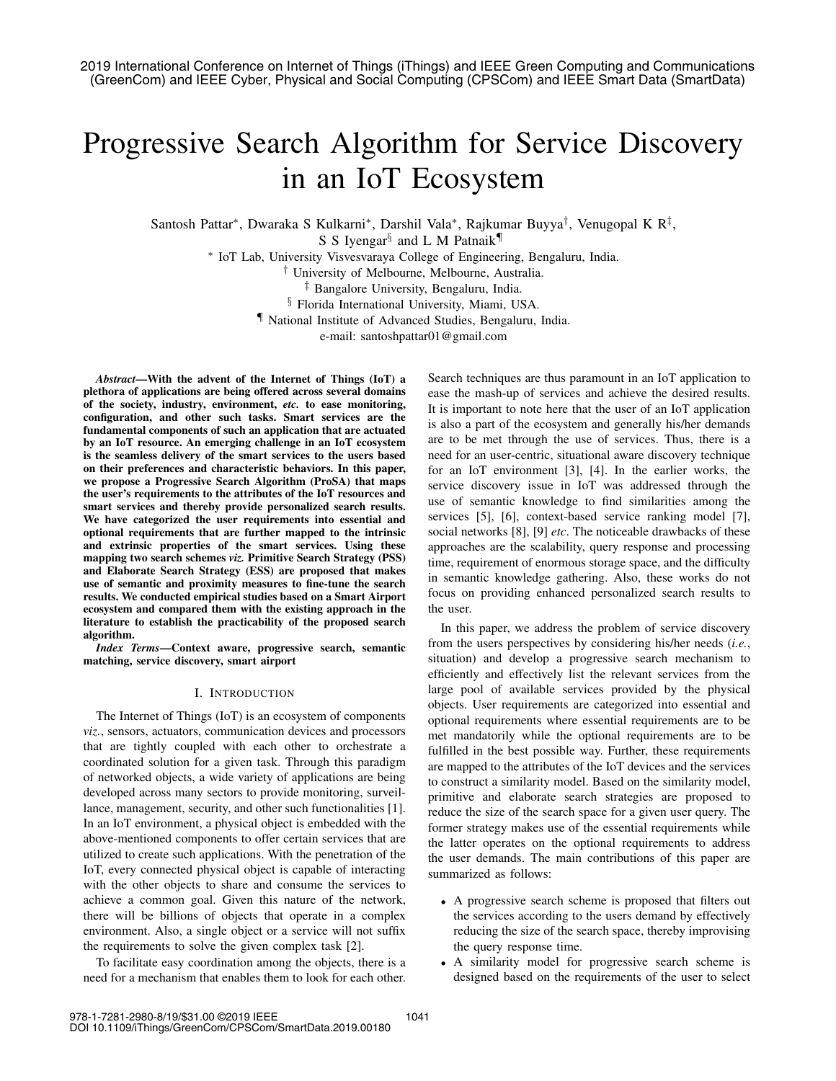# Progressive Search Algorithm for Service Discovery in an IoT Ecosystem

Santosh Pattar∗, Dwaraka S Kulkarni∗, Darshil Vala∗, Rajkumar Buyya†, Venugopal K R‡, S S Iyengar<sup>§</sup> and L M Patnaik<sup>¶</sup>

∗ IoT Lab, University Visvesvaraya College of Engineering, Bengaluru, India.

† University of Melbourne, Melbourne, Australia.

‡ Bangalore University, Bengaluru, India.

§ Florida International University, Miami, USA.

¶ National Institute of Advanced Studies, Bengaluru, India.

e-mail: santoshpattar01@gmail.com

*Abstract*—With the advent of the Internet of Things (IoT) a plethora of applications are being offered across several domains of the society, industry, environment, *etc.* to ease monitoring, configuration, and other such tasks. Smart services are the fundamental components of such an application that are actuated by an IoT resource. An emerging challenge in an IoT ecosystem is the seamless delivery of the smart services to the users based on their preferences and characteristic behaviors. In this paper, we propose a Progressive Search Algorithm (ProSA) that maps the user's requirements to the attributes of the IoT resources and smart services and thereby provide personalized search results. We have categorized the user requirements into essential and optional requirements that are further mapped to the intrinsic and extrinsic properties of the smart services. Using these mapping two search schemes *viz.* Primitive Search Strategy (PSS) and Elaborate Search Strategy (ESS) are proposed that makes use of semantic and proximity measures to fine-tune the search results. We conducted empirical studies based on a Smart Airport ecosystem and compared them with the existing approach in the literature to establish the practicability of the proposed search algorithm.

*Index Terms*—Context aware, progressive search, semantic matching, service discovery, smart airport

## I. INTRODUCTION

The Internet of Things (IoT) is an ecosystem of components *viz.*, sensors, actuators, communication devices and processors that are tightly coupled with each other to orchestrate a coordinated solution for a given task. Through this paradigm of networked objects, a wide variety of applications are being developed across many sectors to provide monitoring, surveillance, management, security, and other such functionalities [1]. In an IoT environment, a physical object is embedded with the above-mentioned components to offer certain services that are utilized to create such applications. With the penetration of the IoT, every connected physical object is capable of interacting with the other objects to share and consume the services to achieve a common goal. Given this nature of the network, there will be billions of objects that operate in a complex environment. Also, a single object or a service will not suffix the requirements to solve the given complex task [2].

To facilitate easy coordination among the objects, there is a need for a mechanism that enables them to look for each other. Search techniques are thus paramount in an IoT application to ease the mash-up of services and achieve the desired results. It is important to note here that the user of an IoT application is also a part of the ecosystem and generally his/her demands are to be met through the use of services. Thus, there is a need for an user-centric, situational aware discovery technique for an IoT environment [3], [4]. In the earlier works, the service discovery issue in IoT was addressed through the use of semantic knowledge to find similarities among the services [5], [6], context-based service ranking model [7], social networks [8], [9] *etc*. The noticeable drawbacks of these approaches are the scalability, query response and processing time, requirement of enormous storage space, and the difficulty in semantic knowledge gathering. Also, these works do not focus on providing enhanced personalized search results to the user.

In this paper, we address the problem of service discovery from the users perspectives by considering his/her needs (*i.e.*, situation) and develop a progressive search mechanism to efficiently and effectively list the relevant services from the large pool of available services provided by the physical objects. User requirements are categorized into essential and optional requirements where essential requirements are to be met mandatorily while the optional requirements are to be fulfilled in the best possible way. Further, these requirements are mapped to the attributes of the IoT devices and the services to construct a similarity model. Based on the similarity model, primitive and elaborate search strategies are proposed to reduce the size of the search space for a given user query. The former strategy makes use of the essential requirements while the latter operates on the optional requirements to address the user demands. The main contributions of this paper are summarized as follows:

- A progressive search scheme is proposed that filters out the services according to the users demand by effectively reducing the size of the search space, thereby improvising the query response time.
- A similarity model for progressive search scheme is designed based on the requirements of the user to select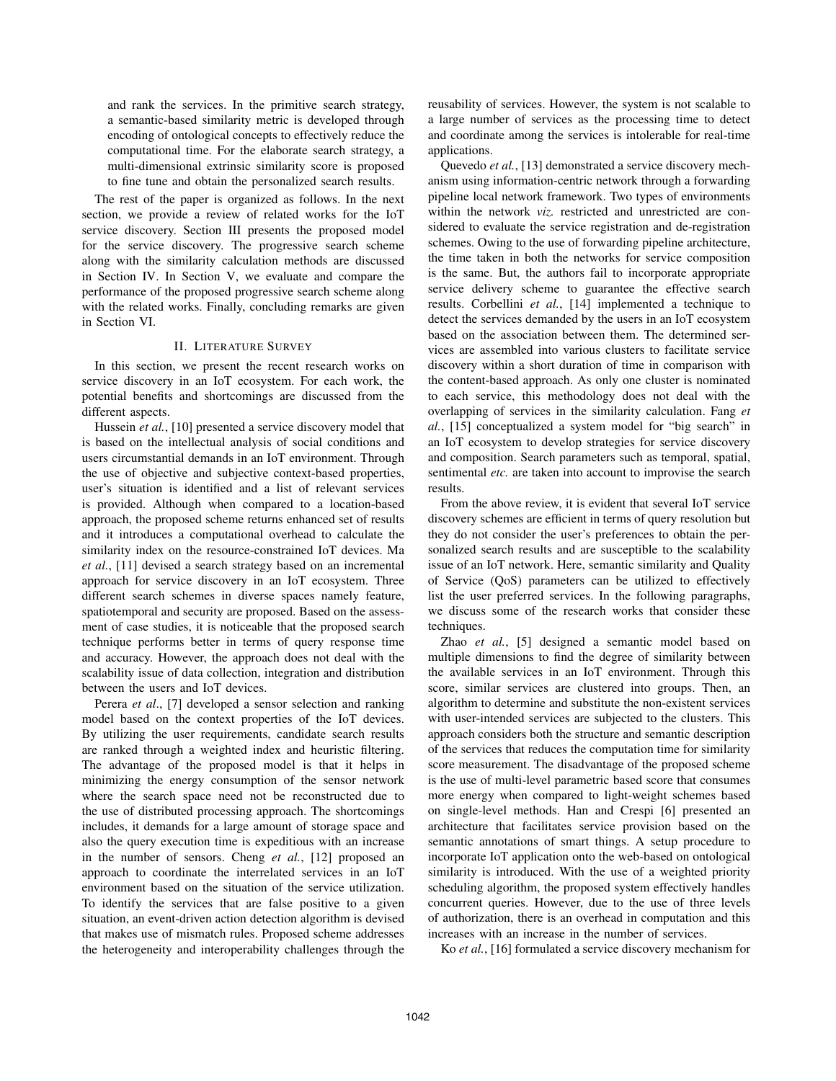and rank the services. In the primitive search strategy, a semantic-based similarity metric is developed through encoding of ontological concepts to effectively reduce the computational time. For the elaborate search strategy, a multi-dimensional extrinsic similarity score is proposed to fine tune and obtain the personalized search results.

The rest of the paper is organized as follows. In the next section, we provide a review of related works for the IoT service discovery. Section III presents the proposed model for the service discovery. The progressive search scheme along with the similarity calculation methods are discussed in Section IV. In Section V, we evaluate and compare the performance of the proposed progressive search scheme along with the related works. Finally, concluding remarks are given in Section VI.

# II. LITERATURE SURVEY

In this section, we present the recent research works on service discovery in an IoT ecosystem. For each work, the potential benefits and shortcomings are discussed from the different aspects.

Hussein *et al.*, [10] presented a service discovery model that is based on the intellectual analysis of social conditions and users circumstantial demands in an IoT environment. Through the use of objective and subjective context-based properties, user's situation is identified and a list of relevant services is provided. Although when compared to a location-based approach, the proposed scheme returns enhanced set of results and it introduces a computational overhead to calculate the similarity index on the resource-constrained IoT devices. Ma *et al.*, [11] devised a search strategy based on an incremental approach for service discovery in an IoT ecosystem. Three different search schemes in diverse spaces namely feature, spatiotemporal and security are proposed. Based on the assessment of case studies, it is noticeable that the proposed search technique performs better in terms of query response time and accuracy. However, the approach does not deal with the scalability issue of data collection, integration and distribution between the users and IoT devices.

Perera *et al*., [7] developed a sensor selection and ranking model based on the context properties of the IoT devices. By utilizing the user requirements, candidate search results are ranked through a weighted index and heuristic filtering. The advantage of the proposed model is that it helps in minimizing the energy consumption of the sensor network where the search space need not be reconstructed due to the use of distributed processing approach. The shortcomings includes, it demands for a large amount of storage space and also the query execution time is expeditious with an increase in the number of sensors. Cheng *et al.*, [12] proposed an approach to coordinate the interrelated services in an IoT environment based on the situation of the service utilization. To identify the services that are false positive to a given situation, an event-driven action detection algorithm is devised that makes use of mismatch rules. Proposed scheme addresses the heterogeneity and interoperability challenges through the reusability of services. However, the system is not scalable to a large number of services as the processing time to detect and coordinate among the services is intolerable for real-time applications.

Quevedo *et al.*, [13] demonstrated a service discovery mechanism using information-centric network through a forwarding pipeline local network framework. Two types of environments within the network *viz.* restricted and unrestricted are considered to evaluate the service registration and de-registration schemes. Owing to the use of forwarding pipeline architecture, the time taken in both the networks for service composition is the same. But, the authors fail to incorporate appropriate service delivery scheme to guarantee the effective search results. Corbellini *et al.*, [14] implemented a technique to detect the services demanded by the users in an IoT ecosystem based on the association between them. The determined services are assembled into various clusters to facilitate service discovery within a short duration of time in comparison with the content-based approach. As only one cluster is nominated to each service, this methodology does not deal with the overlapping of services in the similarity calculation. Fang *et al.*, [15] conceptualized a system model for "big search" in an IoT ecosystem to develop strategies for service discovery and composition. Search parameters such as temporal, spatial, sentimental *etc.* are taken into account to improvise the search results.

From the above review, it is evident that several IoT service discovery schemes are efficient in terms of query resolution but they do not consider the user's preferences to obtain the personalized search results and are susceptible to the scalability issue of an IoT network. Here, semantic similarity and Quality of Service (QoS) parameters can be utilized to effectively list the user preferred services. In the following paragraphs, we discuss some of the research works that consider these techniques.

Zhao *et al.*, [5] designed a semantic model based on multiple dimensions to find the degree of similarity between the available services in an IoT environment. Through this score, similar services are clustered into groups. Then, an algorithm to determine and substitute the non-existent services with user-intended services are subjected to the clusters. This approach considers both the structure and semantic description of the services that reduces the computation time for similarity score measurement. The disadvantage of the proposed scheme is the use of multi-level parametric based score that consumes more energy when compared to light-weight schemes based on single-level methods. Han and Crespi [6] presented an architecture that facilitates service provision based on the semantic annotations of smart things. A setup procedure to incorporate IoT application onto the web-based on ontological similarity is introduced. With the use of a weighted priority scheduling algorithm, the proposed system effectively handles concurrent queries. However, due to the use of three levels of authorization, there is an overhead in computation and this increases with an increase in the number of services.

Ko *et al.*, [16] formulated a service discovery mechanism for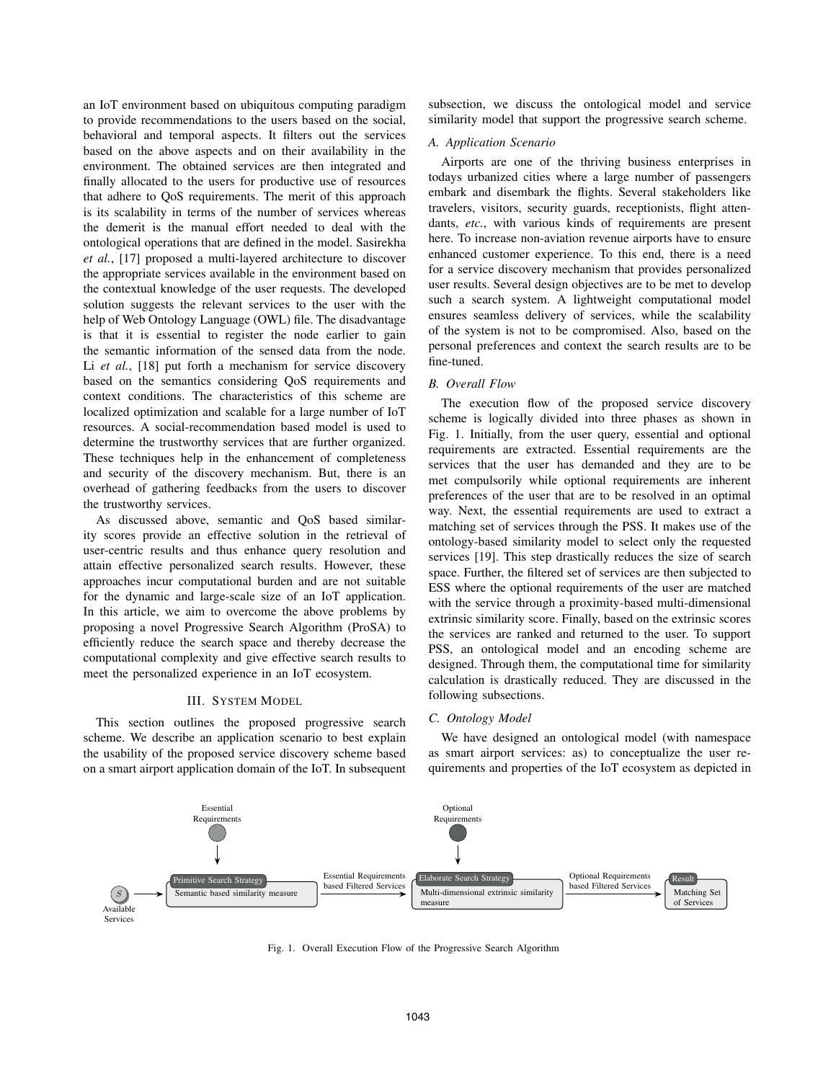an IoT environment based on ubiquitous computing paradigm to provide recommendations to the users based on the social, behavioral and temporal aspects. It filters out the services based on the above aspects and on their availability in the environment. The obtained services are then integrated and finally allocated to the users for productive use of resources that adhere to QoS requirements. The merit of this approach is its scalability in terms of the number of services whereas the demerit is the manual effort needed to deal with the ontological operations that are defined in the model. Sasirekha *et al.*, [17] proposed a multi-layered architecture to discover the appropriate services available in the environment based on the contextual knowledge of the user requests. The developed solution suggests the relevant services to the user with the help of Web Ontology Language (OWL) file. The disadvantage is that it is essential to register the node earlier to gain the semantic information of the sensed data from the node. Li *et al.*, [18] put forth a mechanism for service discovery based on the semantics considering QoS requirements and context conditions. The characteristics of this scheme are localized optimization and scalable for a large number of IoT resources. A social-recommendation based model is used to determine the trustworthy services that are further organized. These techniques help in the enhancement of completeness and security of the discovery mechanism. But, there is an overhead of gathering feedbacks from the users to discover the trustworthy services.

As discussed above, semantic and QoS based similarity scores provide an effective solution in the retrieval of user-centric results and thus enhance query resolution and attain effective personalized search results. However, these approaches incur computational burden and are not suitable for the dynamic and large-scale size of an IoT application. In this article, we aim to overcome the above problems by proposing a novel Progressive Search Algorithm (ProSA) to efficiently reduce the search space and thereby decrease the computational complexity and give effective search results to meet the personalized experience in an IoT ecosystem.

#### III. SYSTEM MODEL

This section outlines the proposed progressive search scheme. We describe an application scenario to best explain the usability of the proposed service discovery scheme based on a smart airport application domain of the IoT. In subsequent subsection, we discuss the ontological model and service similarity model that support the progressive search scheme.

### *A. Application Scenario*

Airports are one of the thriving business enterprises in todays urbanized cities where a large number of passengers embark and disembark the flights. Several stakeholders like travelers, visitors, security guards, receptionists, flight attendants, *etc.*, with various kinds of requirements are present here. To increase non-aviation revenue airports have to ensure enhanced customer experience. To this end, there is a need for a service discovery mechanism that provides personalized user results. Several design objectives are to be met to develop such a search system. A lightweight computational model ensures seamless delivery of services, while the scalability of the system is not to be compromised. Also, based on the personal preferences and context the search results are to be fine-tuned.

# *B. Overall Flow*

The execution flow of the proposed service discovery scheme is logically divided into three phases as shown in Fig. 1. Initially, from the user query, essential and optional requirements are extracted. Essential requirements are the services that the user has demanded and they are to be met compulsorily while optional requirements are inherent preferences of the user that are to be resolved in an optimal way. Next, the essential requirements are used to extract a matching set of services through the PSS. It makes use of the ontology-based similarity model to select only the requested services [19]. This step drastically reduces the size of search space. Further, the filtered set of services are then subjected to ESS where the optional requirements of the user are matched with the service through a proximity-based multi-dimensional extrinsic similarity score. Finally, based on the extrinsic scores the services are ranked and returned to the user. To support PSS, an ontological model and an encoding scheme are designed. Through them, the computational time for similarity calculation is drastically reduced. They are discussed in the following subsections.

#### *C. Ontology Model*

We have designed an ontological model (with namespace as smart airport services: as) to conceptualize the user requirements and properties of the IoT ecosystem as depicted in



Fig. 1. Overall Execution Flow of the Progressive Search Algorithm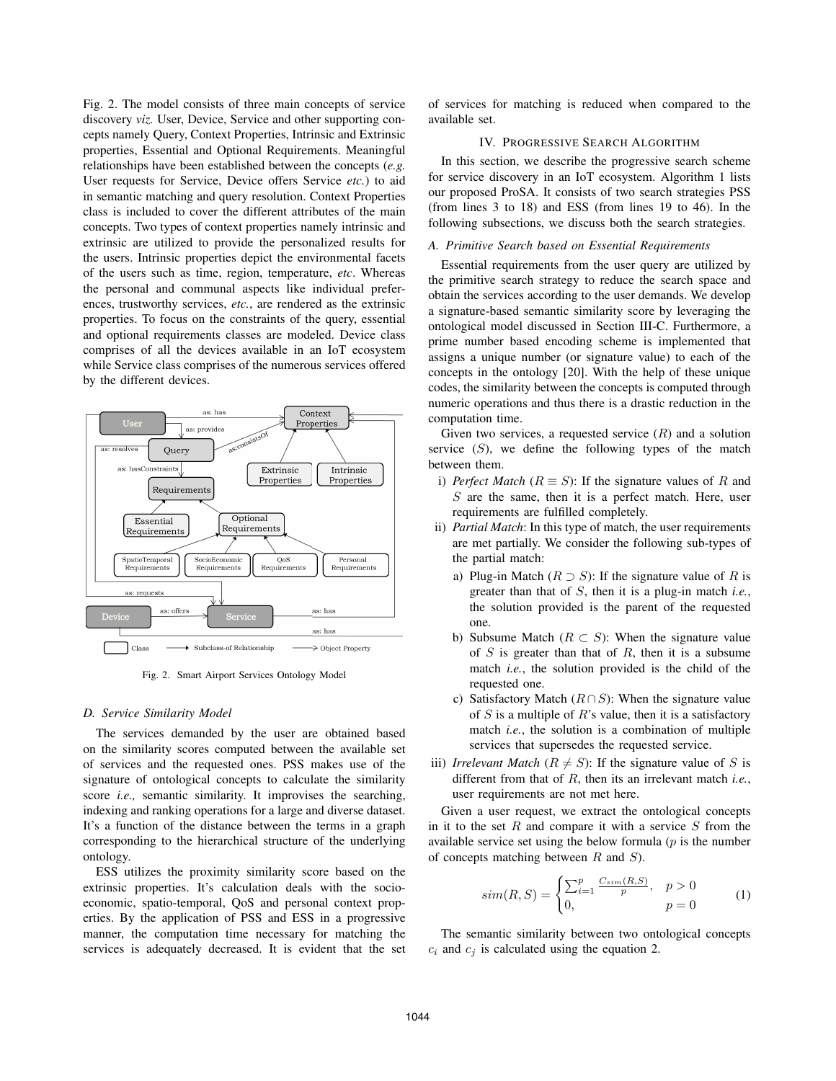Fig. 2. The model consists of three main concepts of service discovery *viz.* User, Device, Service and other supporting concepts namely Query, Context Properties, Intrinsic and Extrinsic properties, Essential and Optional Requirements. Meaningful relationships have been established between the concepts (*e.g.* User requests for Service, Device offers Service *etc.*) to aid in semantic matching and query resolution. Context Properties class is included to cover the different attributes of the main concepts. Two types of context properties namely intrinsic and extrinsic are utilized to provide the personalized results for the users. Intrinsic properties depict the environmental facets of the users such as time, region, temperature, *etc*. Whereas the personal and communal aspects like individual preferences, trustworthy services, *etc.*, are rendered as the extrinsic properties. To focus on the constraints of the query, essential and optional requirements classes are modeled. Device class comprises of all the devices available in an IoT ecosystem while Service class comprises of the numerous services offered by the different devices.



Fig. 2. Smart Airport Services Ontology Model

## *D. Service Similarity Model*

The services demanded by the user are obtained based on the similarity scores computed between the available set of services and the requested ones. PSS makes use of the signature of ontological concepts to calculate the similarity score *i.e.,* semantic similarity. It improvises the searching, indexing and ranking operations for a large and diverse dataset. It's a function of the distance between the terms in a graph corresponding to the hierarchical structure of the underlying ontology.

ESS utilizes the proximity similarity score based on the extrinsic properties. It's calculation deals with the socioeconomic, spatio-temporal, QoS and personal context properties. By the application of PSS and ESS in a progressive manner, the computation time necessary for matching the services is adequately decreased. It is evident that the set of services for matching is reduced when compared to the available set.

# IV. PROGRESSIVE SEARCH ALGORITHM

In this section, we describe the progressive search scheme for service discovery in an IoT ecosystem. Algorithm 1 lists our proposed ProSA. It consists of two search strategies PSS (from lines 3 to 18) and ESS (from lines 19 to 46). In the following subsections, we discuss both the search strategies.

# *A. Primitive Search based on Essential Requirements*

Essential requirements from the user query are utilized by the primitive search strategy to reduce the search space and obtain the services according to the user demands. We develop a signature-based semantic similarity score by leveraging the ontological model discussed in Section III-C. Furthermore, a prime number based encoding scheme is implemented that assigns a unique number (or signature value) to each of the concepts in the ontology [20]. With the help of these unique codes, the similarity between the concepts is computed through numeric operations and thus there is a drastic reduction in the computation time.

Given two services, a requested service  $(R)$  and a solution service  $(S)$ , we define the following types of the match between them.

- i) *Perfect Match* ( $R \equiv S$ ): If the signature values of R and  $S$  are the same, then it is a perfect match. Here, user requirements are fulfilled completely.
- ii) *Partial Match*: In this type of match, the user requirements are met partially. We consider the following sub-types of the partial match:
	- a) Plug-in Match  $(R \supset S)$ : If the signature value of R is greater than that of S, then it is a plug-in match *i.e.*, the solution provided is the parent of the requested one.
	- b) Subsume Match ( $R \subset S$ ): When the signature value of  $S$  is greater than that of  $R$ , then it is a subsume match *i.e.*, the solution provided is the child of the requested one.
	- c) Satisfactory Match  $(R \cap S)$ : When the signature value of  $S$  is a multiple of  $R$ 's value, then it is a satisfactory match *i.e.*, the solution is a combination of multiple services that supersedes the requested service.
- iii) *Irrelevant Match* ( $R \neq S$ ): If the signature value of S is different from that of R, then its an irrelevant match *i.e.*, user requirements are not met here.

Given a user request, we extract the ontological concepts in it to the set  $R$  and compare it with a service  $S$  from the available service set using the below formula  $(p)$  is the number of concepts matching between  $R$  and  $S$ ).

$$
sim(R, S) = \begin{cases} \sum_{i=1}^{p} \frac{C_{sim}(R, S)}{p}, & p > 0\\ 0, & p = 0 \end{cases}
$$
 (1)

The semantic similarity between two ontological concepts  $c_i$  and  $c_j$  is calculated using the equation 2.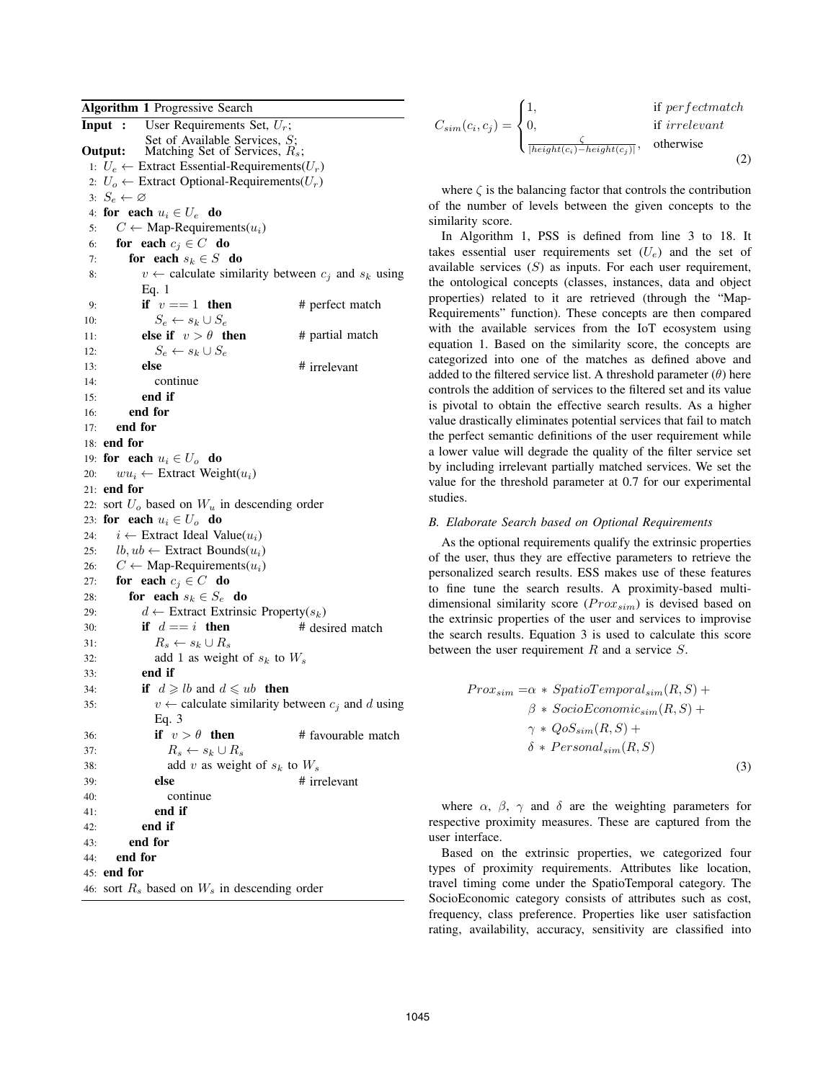Algorithm 1 Progressive Search **Input :** User Requirements Set,  $U_r$ ;<br>Set of Available Services, S; **Output:** Matching Set of Services,  $R_s$ ; 1:  $U_e$  ← Extract Essential-Requirements( $U_r$ ) 2:  $U_o \leftarrow$  Extract Optional-Requirements( $U_r$ ) 3:  $S_e \leftarrow \varnothing$ 4: for each  $u_i \in U_e$  do<br>5:  $C \leftarrow \text{Map-Reguirem}$ 5:  $C \leftarrow \text{Map-Requirements}(u_i)$ <br>6: **for each**  $c_i \in C$  **do** 6: **for each**  $c_j \in C$  **do**<br>7: **for each**  $s_k \in S$  **d** 7: **for each**  $s_k \in S$  **do**<br>8:  $v \leftarrow$  calculate simi  $v \leftarrow$  calculate similarity between  $c_i$  and  $s_k$  using Eq. 1 9: **if**  $v == 1$  **then** # perfect match 10:  $S_e \leftarrow s_k \cup S_e$ <br>11: **else if**  $v > \theta$  **t** else if  $v > \theta$  then # partial match 12:  $S_e \leftarrow s_k \cup S_e$ <br>13: **else** # irrelevant 14: continue 15: end if 16: end for 17: end for 18: end for 19: **for each**  $u_i \in U_o$  **do**<br>20:  $wu_i \leftarrow$  Extract Weig  $wu_i \leftarrow$  Extract Weight $(u_i)$ 21: end for 22: sort  $U<sub>o</sub>$  based on  $W<sub>u</sub>$  in descending order 23: **for each**  $u_i \in U_o$  **do**<br>24:  $i \leftarrow$  Extract Ideal Va 24:  $i \leftarrow$  Extract Ideal Value( $u_i$ )<br>25:  $lb, ub \leftarrow$  Extract Bounds( $u_i$ ) 25:  $lb, ub \leftarrow$  Extract Bounds $(u_i)$ <br>26:  $C \leftarrow$  Map-Requirements $(u_i)$ 26:  $C \leftarrow \text{Map-Requirements}(u_i)$ <br>27: **for each**  $c_i \in C$  **do** 27: **for each**  $c_j \in C$  **do**<br>28: **for each**  $s_k \in S_c$ 28: **for each**  $s_k \in S_e$  **do**<br>29:  $d \leftarrow$  Extract Extrins 29:  $d \leftarrow$  Extract Extrinsic Property( $s_k$ )<br>
30: **if**  $d == i$  **then** # desired match if  $d == i$  then 31:  $R_s \leftarrow s_k \cup R_s$ <br>32: add 1 as weigl 32: add 1 as weight of  $s_k$  to  $W_s$ <br>33: **end if** 33: end if 34: **if**  $d \geq b$  and  $d \leq u$ b **then** 35:  $v \leftarrow$  calculate similarity between  $c_j$  and d using Eq. 3 36: **if**  $v > \theta$  **then** # favourable match 37:  $R_s \leftarrow s_k \cup R_s$ <br>38: add v as weight 38: add v as weight of  $s_k$  to  $W_s$ <br>39: **else** # irr # irrelevant 40: continue 41: end if 42: end if 43: end for 44: end for 45: end for 46: sort  $R_s$  based on  $W_s$  in descending order

$$
C_{sim}(c_i, c_j) = \begin{cases} 1, & \text{if perfectmatch} \\ 0, & \text{if irrelevant} \\ \frac{\zeta}{|height(c_i) - height(c_j)|}, & \text{otherwise} \end{cases}
$$
(2)

where  $\zeta$  is the balancing factor that controls the contribution of the number of levels between the given concepts to the similarity score.

In Algorithm 1, PSS is defined from line 3 to 18. It takes essential user requirements set  $(U_e)$  and the set of available services  $(S)$  as inputs. For each user requirement, the ontological concepts (classes, instances, data and object properties) related to it are retrieved (through the "Map-Requirements" function). These concepts are then compared with the available services from the IoT ecosystem using equation 1. Based on the similarity score, the concepts are categorized into one of the matches as defined above and added to the filtered service list. A threshold parameter  $(\theta)$  here controls the addition of services to the filtered set and its value is pivotal to obtain the effective search results. As a higher value drastically eliminates potential services that fail to match the perfect semantic definitions of the user requirement while a lower value will degrade the quality of the filter service set by including irrelevant partially matched services. We set the value for the threshold parameter at 0.7 for our experimental studies.

## *B. Elaborate Search based on Optional Requirements*

As the optional requirements qualify the extrinsic properties of the user, thus they are effective parameters to retrieve the personalized search results. ESS makes use of these features to fine tune the search results. A proximity-based multidimensional similarity score  $(Prox_{sim})$  is devised based on the extrinsic properties of the user and services to improvise the search results. Equation 3 is used to calculate this score between the user requirement  $R$  and a service  $S$ .

$$
Prox_{sim} = \alpha * SpatioTemporal_{sim}(R, S) +
$$
  
\n
$$
\beta * SocioEconomic_{sim}(R, S) +
$$
  
\n
$$
\gamma * QoS_{sim}(R, S) +
$$
  
\n
$$
\delta * Personal_{sim}(R, S)
$$
  
\n(3)

where  $\alpha$ ,  $\beta$ ,  $\gamma$  and  $\delta$  are the weighting parameters for respective proximity measures. These are captured from the user interface.

Based on the extrinsic properties, we categorized four types of proximity requirements. Attributes like location, travel timing come under the SpatioTemporal category. The SocioEconomic category consists of attributes such as cost, frequency, class preference. Properties like user satisfaction rating, availability, accuracy, sensitivity are classified into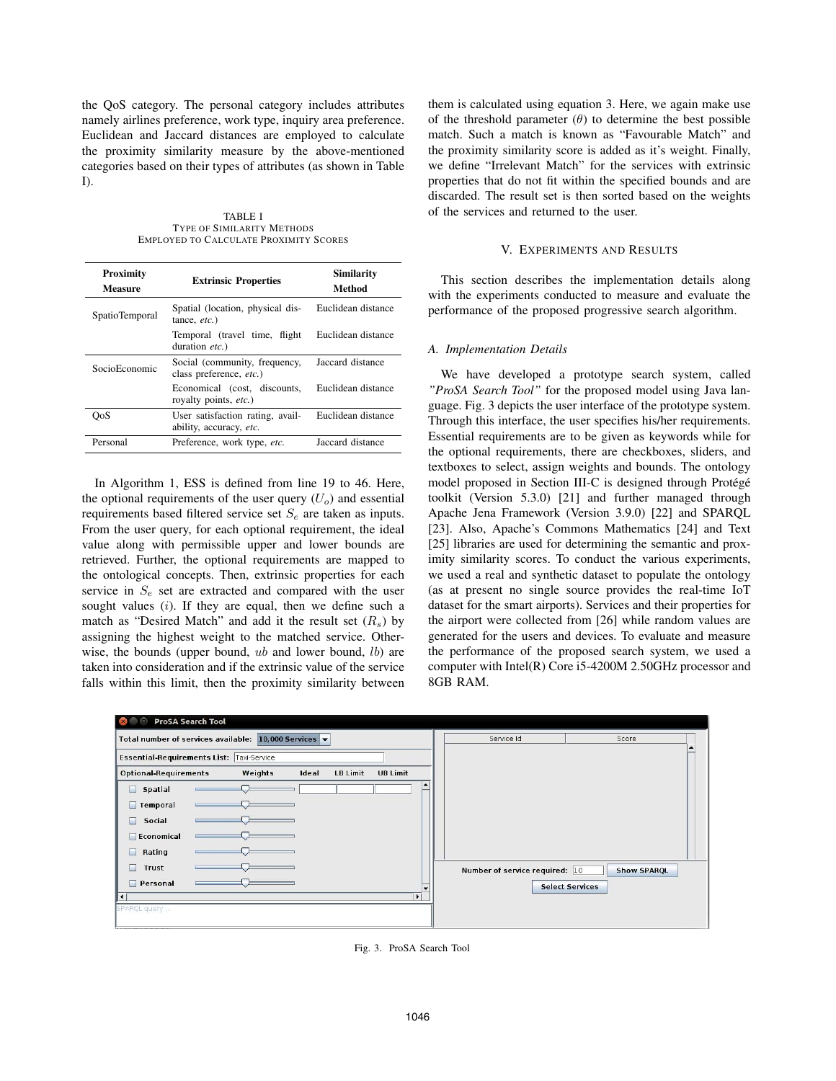the QoS category. The personal category includes attributes namely airlines preference, work type, inquiry area preference. Euclidean and Jaccard distances are employed to calculate the proximity similarity measure by the above-mentioned categories based on their types of attributes (as shown in Table I).

TABLE I TYPE OF SIMILARITY METHODS EMPLOYED TO CALCULATE PROXIMITY SCORES

| Proximity<br>Measure | <b>Extrinsic Properties</b>                                 | <b>Similarity</b><br>Method |
|----------------------|-------------------------------------------------------------|-----------------------------|
| SpatioTemporal       | Spatial (location, physical dis-<br>tance, $etc.$ )         | Euclidean distance          |
|                      | Temporal (travel time, flight<br>duration etc.)             | Euclidean distance          |
| SocioEconomic        | Social (community, frequency,<br>class preference, etc.)    | Jaccard distance            |
|                      | Economical (cost, discounts,<br>royalty points, etc.)       | Euclidean distance          |
| OoS                  | User satisfaction rating, avail-<br>ability, accuracy, etc. | Euclidean distance          |
| Personal             | Preference, work type, etc.                                 | Jaccard distance            |

In Algorithm 1, ESS is defined from line 19 to 46. Here, the optional requirements of the user query  $(U<sub>o</sub>)$  and essential requirements based filtered service set  $S_e$  are taken as inputs. From the user query, for each optional requirement, the ideal value along with permissible upper and lower bounds are retrieved. Further, the optional requirements are mapped to the ontological concepts. Then, extrinsic properties for each service in  $S_e$  set are extracted and compared with the user sought values  $(i)$ . If they are equal, then we define such a match as "Desired Match" and add it the result set  $(R_s)$  by assigning the highest weight to the matched service. Otherwise, the bounds (upper bound,  $ub$  and lower bound,  $lb$ ) are taken into consideration and if the extrinsic value of the service falls within this limit, then the proximity similarity between

them is calculated using equation 3. Here, we again make use of the threshold parameter  $(\theta)$  to determine the best possible match. Such a match is known as "Favourable Match" and the proximity similarity score is added as it's weight. Finally, we define "Irrelevant Match" for the services with extrinsic properties that do not fit within the specified bounds and are discarded. The result set is then sorted based on the weights of the services and returned to the user.

# V. EXPERIMENTS AND RESULTS

This section describes the implementation details along with the experiments conducted to measure and evaluate the performance of the proposed progressive search algorithm.

### *A. Implementation Details*

We have developed a prototype search system, called *"ProSA Search Tool"* for the proposed model using Java language. Fig. 3 depicts the user interface of the prototype system. Through this interface, the user specifies his/her requirements. Essential requirements are to be given as keywords while for the optional requirements, there are checkboxes, sliders, and textboxes to select, assign weights and bounds. The ontology model proposed in Section III-C is designed through Protégé toolkit (Version 5.3.0) [21] and further managed through Apache Jena Framework (Version 3.9.0) [22] and SPARQL [23]. Also, Apache's Commons Mathematics [24] and Text [25] libraries are used for determining the semantic and proximity similarity scores. To conduct the various experiments, we used a real and synthetic dataset to populate the ontology (as at present no single source provides the real-time IoT dataset for the smart airports). Services and their properties for the airport were collected from [26] while random values are generated for the users and devices. To evaluate and measure the performance of the proposed search system, we used a computer with Intel(R) Core i5-4200M 2.50GHz processor and 8GB RAM.



Fig. 3. ProSA Search Tool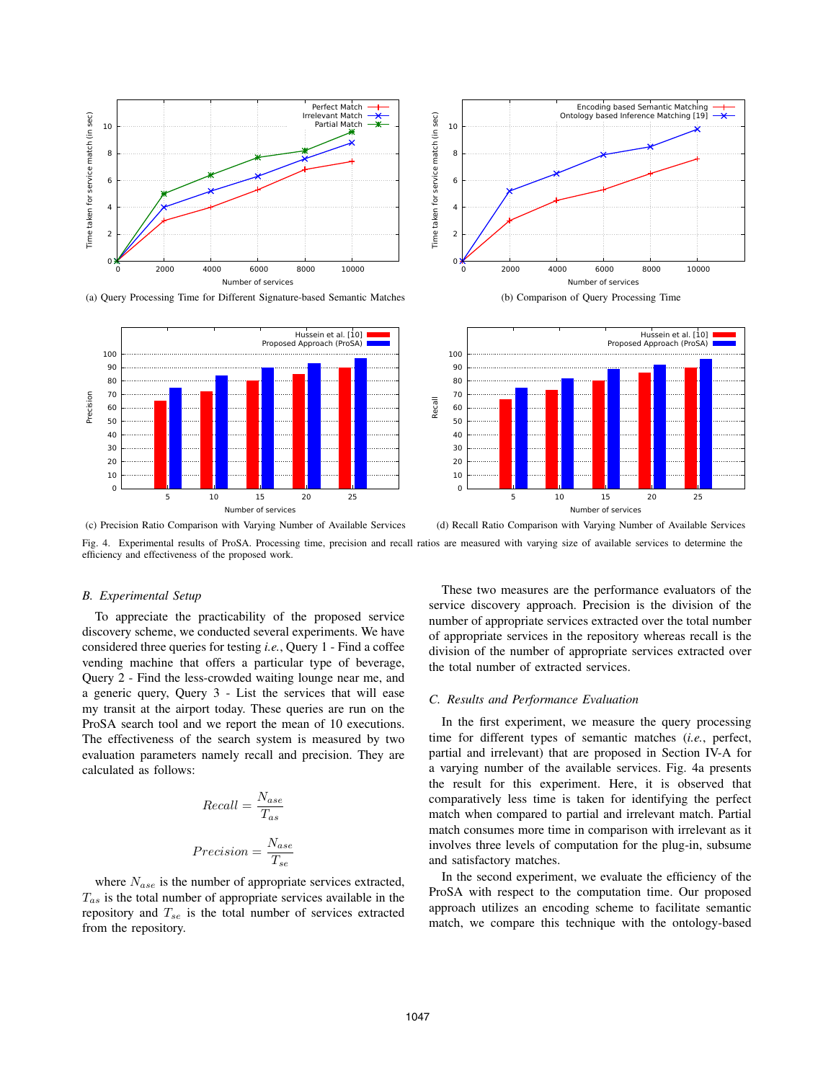

(a) Query Processing Time for Different Signature-based Semantic Matches





(b) Comparison of Query Processing Time



(c) Precision Ratio Comparison with Varying Number of Available Services

(d) Recall Ratio Comparison with Varying Number of Available Services

Fig. 4. Experimental results of ProSA. Processing time, precision and recall ratios are measured with varying size of available services to determine the efficiency and effectiveness of the proposed work.

### *B. Experimental Setup*

To appreciate the practicability of the proposed service discovery scheme, we conducted several experiments. We have considered three queries for testing *i.e.*, Query 1 - Find a coffee vending machine that offers a particular type of beverage, Query 2 - Find the less-crowded waiting lounge near me, and a generic query, Query 3 - List the services that will ease my transit at the airport today. These queries are run on the ProSA search tool and we report the mean of 10 executions. The effectiveness of the search system is measured by two evaluation parameters namely recall and precision. They are calculated as follows:

$$
Recall = \frac{N_{ase}}{T_{as}}
$$
  

$$
Precision = \frac{N_{ase}}{T_{se}}
$$

where  $N_{ase}$  is the number of appropriate services extracted,  $T_{as}$  is the total number of appropriate services available in the approximate and  $T_{\text{eff}}$  is the total number of services autostad repository and  $T_{se}$  is the total number of services extracted from the repository.

These two measures are the performance evaluators of the service discovery approach. Precision is the division of the number of appropriate services extracted over the total number of appropriate services in the repository whereas recall is the division of the number of appropriate services extracted over the total number of extracted services.

## *C. Results and Performance Evaluation*

In the first experiment, we measure the query processing time for different types of semantic matches (*i.e.*, perfect, partial and irrelevant) that are proposed in Section IV-A for a varying number of the available services. Fig. 4a presents the result for this experiment. Here, it is observed that comparatively less time is taken for identifying the perfect match when compared to partial and irrelevant match. Partial match consumes more time in comparison with irrelevant as it involves three levels of computation for the plug-in, subsume and satisfactory matches.

In the second experiment, we evaluate the efficiency of the ProSA with respect to the computation time. Our proposed approach utilizes an encoding scheme to facilitate semantic match, we compare this technique with the ontology-based